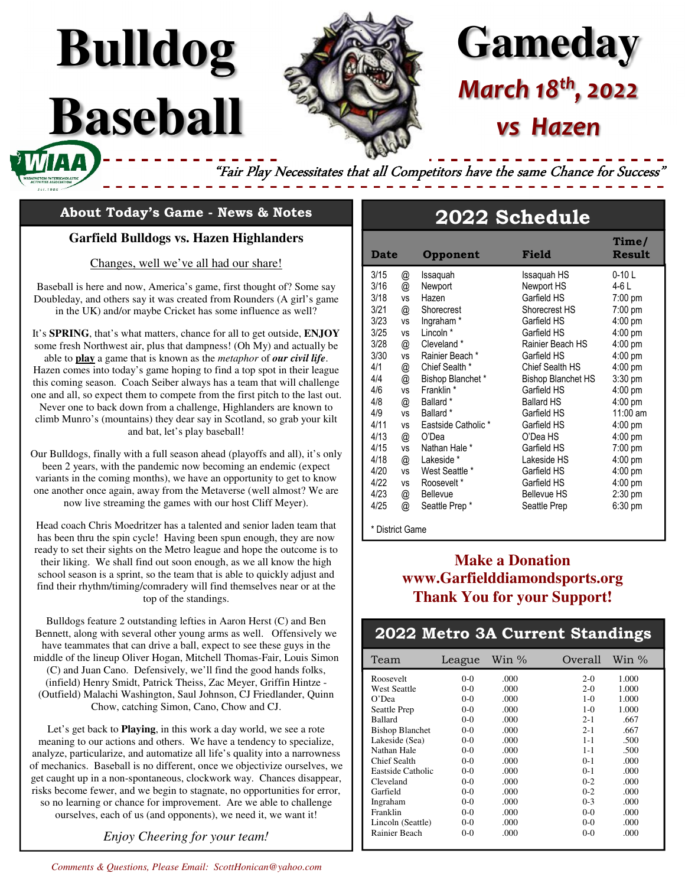

# **Gameday** *March 18th, 2022 vs Hazen*

 **Time/** 

"Fair Play Necessitates that all Competitors have the same Chance for Success"

### **About Today's Game - News & Notes**

**Bulldog**

**Baseball** 

### **Garfield Bulldogs vs. Hazen Highlanders**

### Changes, well we've all had our share!

Baseball is here and now, America's game, first thought of? Some say Doubleday, and others say it was created from Rounders (A girl's game in the UK) and/or maybe Cricket has some influence as well?

It's **SPRING**, that's what matters, chance for all to get outside, **ENJOY** some fresh Northwest air, plus that dampness! (Oh My) and actually be able to **play** a game that is known as the *metaphor* of *our civil life*. Hazen comes into today's game hoping to find a top spot in their league this coming season. Coach Seiber always has a team that will challenge one and all, so expect them to compete from the first pitch to the last out. Never one to back down from a challenge, Highlanders are known to climb Munro's (mountains) they dear say in Scotland, so grab your kilt and bat, let's play baseball!

Our Bulldogs, finally with a full season ahead (playoffs and all), it's only been 2 years, with the pandemic now becoming an endemic (expect variants in the coming months), we have an opportunity to get to know one another once again, away from the Metaverse (well almost? We are now live streaming the games with our host Cliff Meyer).

Head coach Chris Moedritzer has a talented and senior laden team that has been thru the spin cycle! Having been spun enough, they are now ready to set their sights on the Metro league and hope the outcome is to their liking. We shall find out soon enough, as we all know the high school season is a sprint, so the team that is able to quickly adjust and find their rhythm/timing/comradery will find themselves near or at the top of the standings.

Bulldogs feature 2 outstanding lefties in Aaron Herst (C) and Ben Bennett, along with several other young arms as well. Offensively we have teammates that can drive a ball, expect to see these guys in the middle of the lineup Oliver Hogan, Mitchell Thomas-Fair, Louis Simon (C) and Juan Cano. Defensively, we'll find the good hands folks, (infield) Henry Smidt, Patrick Theiss, Zac Meyer, Griffin Hintze - (Outfield) Malachi Washington, Saul Johnson, CJ Friedlander, Quinn Chow, catching Simon, Cano, Chow and CJ.

Let's get back to **Playing**, in this work a day world, we see a rote meaning to our actions and others. We have a tendency to specialize, analyze, particularize, and automatize all life's quality into a narrowness of mechanics. Baseball is no different, once we objectivize ourselves, we get caught up in a non-spontaneous, clockwork way. Chances disappear, risks become fewer, and we begin to stagnate, no opportunities for error, so no learning or chance for improvement. Are we able to challenge ourselves, each of us (and opponents), we need it, we want it!

*Enjoy Cheering for your team!* 

| 3/16 | @                         | Newport               | Newport HS                | 4-6 L             |
|------|---------------------------|-----------------------|---------------------------|-------------------|
| 3/18 | <b>VS</b>                 | Hazen                 | Garfield HS               | $7:00 \text{ pm}$ |
| 3/21 | @                         | Shorecrest            | Shorecrest HS             | $7:00 \text{ pm}$ |
| 3/23 | <b>VS</b>                 | Ingraham <sup>*</sup> | Garfield HS               | 4:00 pm           |
| 3/25 | <b>VS</b>                 | Lincoln *             | Garfield HS               | $4:00 \text{ pm}$ |
| 3/28 | @                         | Cleveland *           | Rainier Beach HS          | $4:00 \text{ pm}$ |
| 3/30 | ٧S                        | Rainier Beach *       | Garfield HS               | 4:00 pm           |
| 4/1  | @                         | Chief Sealth *        | Chief Sealth HS           | 4:00 pm           |
| 4/4  | $^\text{\textregistered}$ | Bishop Blanchet*      | <b>Bishop Blanchet HS</b> | $3:30 \text{ pm}$ |
| 4/6  | <b>VS</b>                 | Franklin <sup>*</sup> | Garfield HS               | $4:00 \text{ pm}$ |
| 4/8  | @                         | Ballard *             | <b>Ballard HS</b>         | 4:00 pm           |
| 4/9  | <b>VS</b>                 | Ballard *             | Garfield HS               | $11:00$ am        |
| 4/11 | <b>VS</b>                 | Eastside Catholic *   | Garfield HS               | 4:00 pm           |
| 4/13 | @                         | O'Dea                 | O'Dea HS                  | $4:00 \text{ pm}$ |
| 4/15 | ٧S                        | Nathan Hale *         | Garfield HS               | 7:00 pm           |
| 4/18 | $^\text{\textregistered}$ | Lakeside *            | Lakeside HS               | 4:00 pm           |
| 4/20 | <b>VS</b>                 | West Seattle *        | Garfield HS               | 4:00 pm           |
| 4/22 | <b>VS</b>                 | Roosevelt*            | Garfield HS               | 4:00 pm           |
| 4/23 | @<br>@                    | <b>Bellevue</b>       | <b>Bellevue HS</b>        | 2:30 pm           |
| 4/25 |                           | Seattle Prep*         | Seattle Prep              | $6:30$ pm         |

3/15 @ Issaquah Issaquah HS 0-10 L

**Date Opponent Field Result**

**2022 Schedule**

\* District Game

### **Make a Donation www.Garfielddiamondsports.org Thank You for your Support!**

### **2022 Metro 3A Current Standings**

| Team                   | League  | Win $\%$ | Overall | Win $\%$ |
|------------------------|---------|----------|---------|----------|
| Roosevelt              | $0-0$   | .000     | $2-0$   | 1.000    |
| <b>West Seattle</b>    | $0-0$   | .000     | $2-0$   | 1.000    |
| O'Dea                  | $0-0$   | .000     | $1-0$   | 1.000    |
| Seattle Prep           | $0-0$   | .000     | $1-0$   | 1.000    |
| <b>Ballard</b>         | $0-0$   | .000     | $2 - 1$ | .667     |
| <b>Bishop Blanchet</b> | $0-0$   | .000     | $2 - 1$ | .667     |
| Lakeside (Sea)         | $0-0$   | .000     | $1 - 1$ | .500     |
| Nathan Hale            | $0-0$   | .000     | $1 - 1$ | .500     |
| Chief Sealth           | $0-0$   | .000     | $0 - 1$ | .000     |
| Eastside Catholic      | $0-0$   | .000     | $0 - 1$ | .000     |
| Cleveland              | $0-0$   | .000     | $0 - 2$ | .000     |
| Garfield               | $0-0$   | .000     | $0 - 2$ | .000     |
| Ingraham               | $0-0$   | .000     | $0 - 3$ | .000     |
| Franklin               | $0-0$   | .000     | $0 - 0$ | .000     |
| Lincoln (Seattle)      | $0-0$   | .000     | $0 - 0$ | .000     |
| Rainier Beach          | $0 - 0$ | .000     | $0 - 0$ | .000     |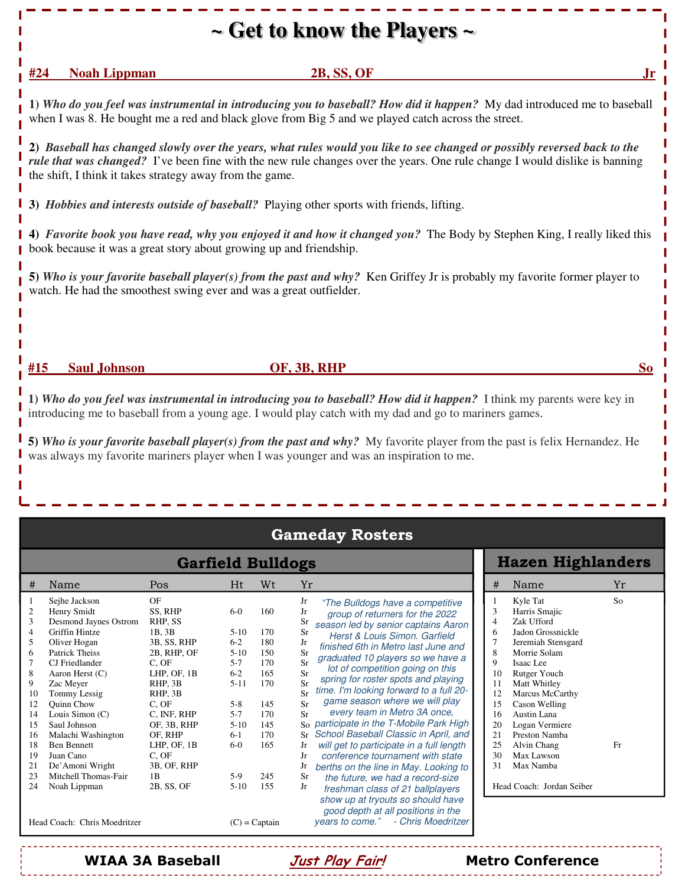## **~ Get to know the Players ~**

### **#24** Noah Lippman 2B, SS, OF

**1)** *Who do you feel was instrumental in introducing you to baseball? How did it happen?*My dad introduced me to baseball when I was 8. He bought me a red and black glove from Big 5 and we played catch across the street.

**2)** *Baseball has changed slowly over the years, what rules would you like to see changed or possibly reversed back to the rule that was changed?* I've been fine with the new rule changes over the years. One rule change I would dislike is banning the shift, I think it takes strategy away from the game.

**3)** *Hobbies and interests outside of baseball?* Playing other sports with friends, lifting.

**4)** *Favorite book you have read, why you enjoyed it and how it changed you?* The Body by Stephen King, I really liked this book because it was a great story about growing up and friendship.

**5)** *Who is your favorite baseball player(s) from the past and why?* Ken Griffey Jr is probably my favorite former player to watch. He had the smoothest swing ever and was a great outfielder.

### **#15 Saul Johnson OF, 3B, RHP So**

**1)** *Who do you feel was instrumental in introducing you to baseball? How did it happen?*I think my parents were key in introducing me to baseball from a young age. I would play catch with my dad and go to mariners games.

**5)** *Who is your favorite baseball player(s) from the past and why?* My favorite player from the past is felix Hernandez. He was always my favorite mariners player when I was younger and was an inspiration to me.

| <b>Gameday Rosters</b>                                                                                                                                                                                                                                                                                                                                                                                                                                                                     |                                                                                                                                                                                                                                        |                                                                                                                                           |                                                                                                                   |                                                                                                                                                                                                                                                                                                                                                                                                                                                                                                                                                                                                                                                                                                                                                                                                                                                                                                                                                           |  |                                                                                                                                                                                                                                                                                                                                                                                                             |                      |
|--------------------------------------------------------------------------------------------------------------------------------------------------------------------------------------------------------------------------------------------------------------------------------------------------------------------------------------------------------------------------------------------------------------------------------------------------------------------------------------------|----------------------------------------------------------------------------------------------------------------------------------------------------------------------------------------------------------------------------------------|-------------------------------------------------------------------------------------------------------------------------------------------|-------------------------------------------------------------------------------------------------------------------|-----------------------------------------------------------------------------------------------------------------------------------------------------------------------------------------------------------------------------------------------------------------------------------------------------------------------------------------------------------------------------------------------------------------------------------------------------------------------------------------------------------------------------------------------------------------------------------------------------------------------------------------------------------------------------------------------------------------------------------------------------------------------------------------------------------------------------------------------------------------------------------------------------------------------------------------------------------|--|-------------------------------------------------------------------------------------------------------------------------------------------------------------------------------------------------------------------------------------------------------------------------------------------------------------------------------------------------------------------------------------------------------------|----------------------|
| <b>Garfield Bulldogs</b>                                                                                                                                                                                                                                                                                                                                                                                                                                                                   |                                                                                                                                                                                                                                        |                                                                                                                                           |                                                                                                                   |                                                                                                                                                                                                                                                                                                                                                                                                                                                                                                                                                                                                                                                                                                                                                                                                                                                                                                                                                           |  | <b>Hazen Highlanders</b>                                                                                                                                                                                                                                                                                                                                                                                    |                      |
| #<br>Name                                                                                                                                                                                                                                                                                                                                                                                                                                                                                  | Pos                                                                                                                                                                                                                                    | Ht                                                                                                                                        | Wt                                                                                                                | Yr                                                                                                                                                                                                                                                                                                                                                                                                                                                                                                                                                                                                                                                                                                                                                                                                                                                                                                                                                        |  | Name<br>#                                                                                                                                                                                                                                                                                                                                                                                                   | Yr                   |
| Sejhe Jackson<br>Henry Smidt<br>2<br>Desmond Jaynes Ostrom<br>3<br>Griffin Hintze<br>4<br>5<br>Oliver Hogan<br>Patrick Theiss<br>6<br>CJ Friedlander<br>8<br>Aaron Herst $(C)$<br>9<br>Zac Meyer<br>Tommy Lessig<br>10<br><b>Ouinn Chow</b><br>12<br>Louis Simon $(C)$<br>14<br>Saul Johnson<br>15<br>Malachi Washington<br>16<br><b>Ben Bennett</b><br>18<br>Juan Cano<br>19<br>De'Amoni Wright<br>21<br>Mitchell Thomas-Fair<br>23<br>24<br>Noah Lippman<br>Head Coach: Chris Moedritzer | OF<br>SS. RHP<br>RHP. SS<br>1B.3B<br>3B, SS, RHP<br>2B. RHP. OF<br>C, OF<br>LHP. OF. 1B<br>RHP. 3B<br>RHP. 3B<br>C. OF<br>C. INF. RHP<br>OF, 3B, RHP<br>OF. RHP<br>LHP. OF. 1B<br>C. OF<br>3B, OF, RHP<br>1 <sub>B</sub><br>2B, SS, OF | $6-0$<br>$5-10$<br>$6 - 2$<br>$5-10$<br>$5 - 7$<br>$6-2$<br>$5 - 11$<br>$5 - 8$<br>$5 - 7$<br>$5-10$<br>$6-1$<br>$6-0$<br>$5-9$<br>$5-10$ | 160<br>170<br>180<br>150<br>170<br>165<br>170<br>145<br>170<br>145<br>170<br>165<br>245<br>155<br>$(C)$ = Captain | Jr<br>"The Bulldogs have a competitive"<br>Jr<br>group of returners for the 2022<br>Sr<br>season led by senior captains Aaron<br><b>Sr</b><br>Herst & Louis Simon, Garfield<br>Jr<br>finished 6th in Metro last June and<br>Sr<br>graduated 10 players so we have a<br>Sr<br>lot of competition going on this<br>Sr<br>spring for roster spots and playing<br>$S_{r}$<br>time. I'm looking forward to a full 20-<br>Sr<br>game season where we will play<br>Sr<br>every team in Metro 3A once,<br>Sr<br>So participate in the T-Mobile Park High<br>School Baseball Classic in April, and<br>Sr<br>will get to participate in a full length<br>Jr<br>conference tournament with state<br>Jr<br>Jr<br>berths on the line in May. Looking to<br><b>Sr</b><br>the future, we had a record-size<br>Jr<br>freshman class of 21 ballplayers<br>show up at tryouts so should have<br>good depth at all positions in the<br>- Chris Moedritzer<br>vears to come." |  | Kyle Tat<br>Harris Smajic<br>3<br>Zak Ufford<br>4<br>Jadon Grossnickle<br>6<br>Jeremiah Stensgard<br>8<br>Morrie Solam<br>$\mathbf Q$<br>Isaac Lee<br>10<br>Rutger Youch<br>Matt Whitley<br>11<br>12<br>Marcus McCarthy<br>15<br>Cason Welling<br>Austin Lana<br>16<br>Logan Vermiere<br>20<br>21<br>Preston Namba<br>25<br>Alvin Chang<br>30<br>Max Lawson<br>31<br>Max Namba<br>Head Coach: Jordan Seiber | S <sub>o</sub><br>Fr |

### **WIAA 3A Baseball Just Play Fair! Metro Conference**